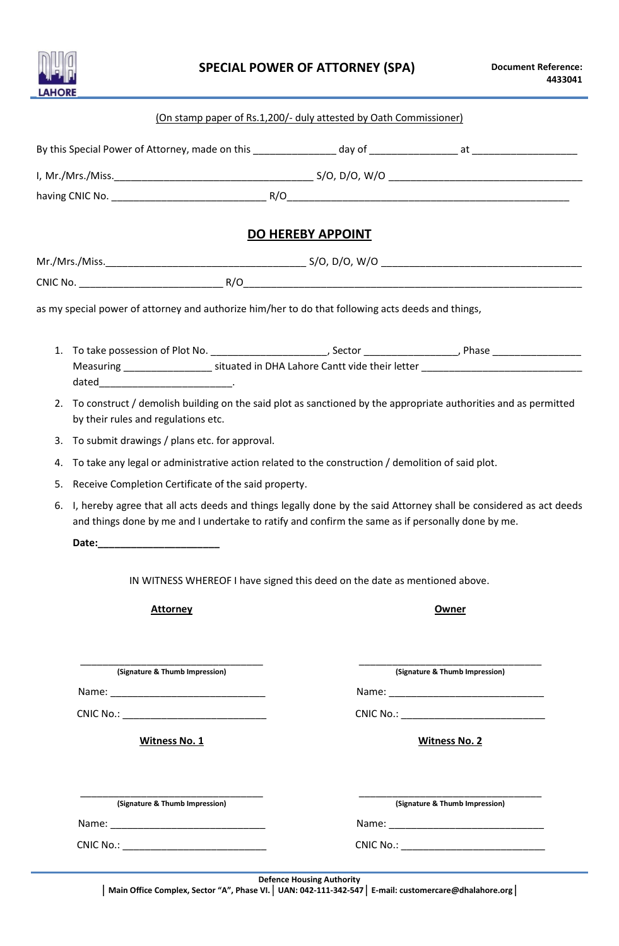

|    | (On stamp paper of Rs.1,200/- duly attested by Oath Commissioner)                                                                                                                                                              |                          |                                |
|----|--------------------------------------------------------------------------------------------------------------------------------------------------------------------------------------------------------------------------------|--------------------------|--------------------------------|
|    |                                                                                                                                                                                                                                |                          |                                |
|    |                                                                                                                                                                                                                                |                          |                                |
|    |                                                                                                                                                                                                                                |                          |                                |
|    |                                                                                                                                                                                                                                | <b>DO HEREBY APPOINT</b> |                                |
|    |                                                                                                                                                                                                                                |                          |                                |
|    |                                                                                                                                                                                                                                |                          |                                |
|    | as my special power of attorney and authorize him/her to do that following acts deeds and things,                                                                                                                              |                          |                                |
| 1. |                                                                                                                                                                                                                                |                          |                                |
|    | Measuring ______________________ situated in DHA Lahore Cantt vide their letter ______________________________                                                                                                                 |                          |                                |
| 2. | To construct / demolish building on the said plot as sanctioned by the appropriate authorities and as permitted<br>by their rules and regulations etc.                                                                         |                          |                                |
| 3. | To submit drawings / plans etc. for approval.                                                                                                                                                                                  |                          |                                |
| 4. | To take any legal or administrative action related to the construction / demolition of said plot.                                                                                                                              |                          |                                |
| 5. | Receive Completion Certificate of the said property.                                                                                                                                                                           |                          |                                |
|    |                                                                                                                                                                                                                                |                          |                                |
| 6. | I, hereby agree that all acts deeds and things legally done by the said Attorney shall be considered as act deeds<br>and things done by me and I undertake to ratify and confirm the same as if personally done by me.         |                          |                                |
|    |                                                                                                                                                                                                                                |                          |                                |
|    | IN WITNESS WHEREOF I have signed this deed on the date as mentioned above.                                                                                                                                                     |                          |                                |
|    | <b>Attorney</b>                                                                                                                                                                                                                |                          | Owner                          |
|    |                                                                                                                                                                                                                                |                          |                                |
|    | (Signature & Thumb Impression)                                                                                                                                                                                                 |                          | (Signature & Thumb Impression) |
|    |                                                                                                                                                                                                                                |                          |                                |
|    |                                                                                                                                                                                                                                |                          |                                |
|    | <b>Witness No. 1</b>                                                                                                                                                                                                           |                          | <b>Witness No. 2</b>           |
|    | (Signature & Thumb Impression)                                                                                                                                                                                                 |                          | (Signature & Thumb Impression) |
|    | Name: Name and the state of the state of the state of the state of the state of the state of the state of the state of the state of the state of the state of the state of the state of the state of the state of the state of |                          | Name: Name:                    |
|    |                                                                                                                                                                                                                                |                          |                                |